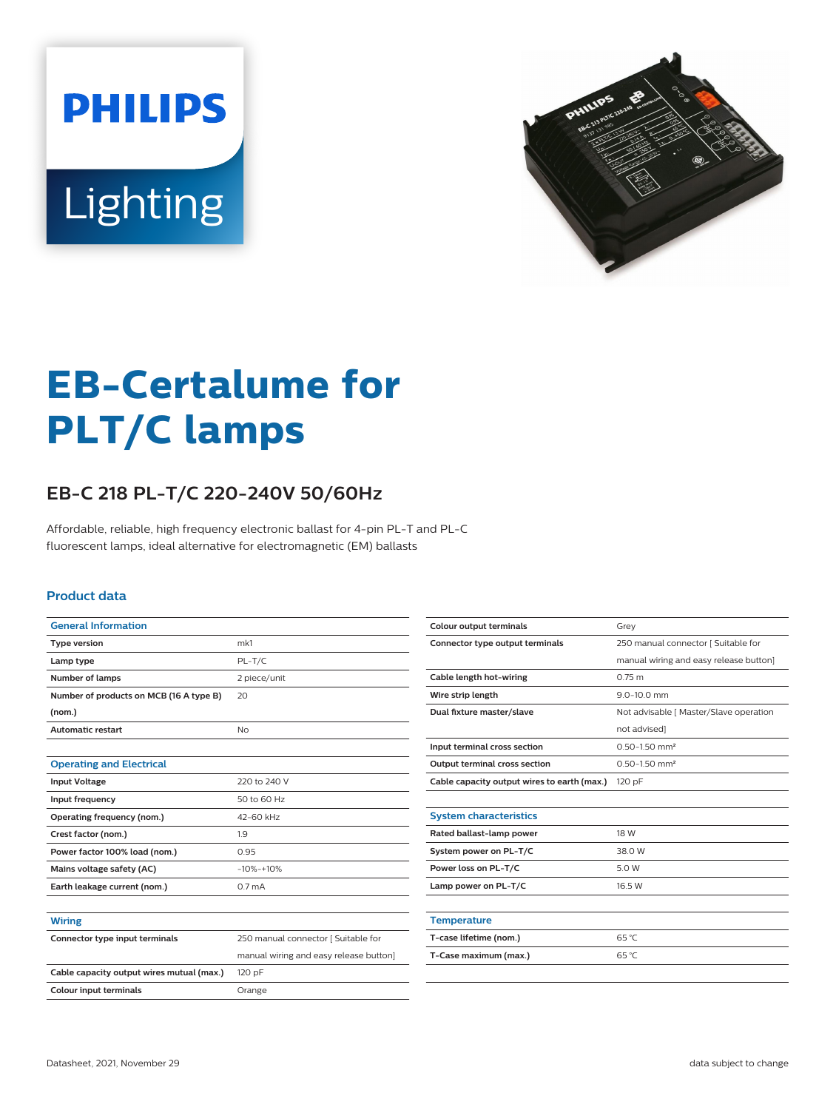



# **EB-Certalume for PLT/C lamps**

## **EB-C 218 PL-T/C 220-240V 50/60Hz**

Affordable, reliable, high frequency electronic ballast for 4-pin PL-T and PL-C fluorescent lamps, ideal alternative for electromagnetic (EM) ballasts

#### **Product data**

| <b>General Information</b>                |                                        |  |  |  |  |
|-------------------------------------------|----------------------------------------|--|--|--|--|
| <b>Type version</b>                       | mk1                                    |  |  |  |  |
| Lamp type                                 | $PL-T/C$                               |  |  |  |  |
| <b>Number of lamps</b>                    | 2 piece/unit                           |  |  |  |  |
| Number of products on MCB (16 A type B)   | 20                                     |  |  |  |  |
| (nom.)                                    |                                        |  |  |  |  |
| <b>Automatic restart</b>                  | No                                     |  |  |  |  |
|                                           |                                        |  |  |  |  |
| <b>Operating and Electrical</b>           |                                        |  |  |  |  |
| <b>Input Voltage</b>                      | 220 to 240 V                           |  |  |  |  |
| Input frequency                           | 50 to 60 Hz                            |  |  |  |  |
| Operating frequency (nom.)                | 42-60 kHz                              |  |  |  |  |
| Crest factor (nom.)                       | 1.9                                    |  |  |  |  |
| Power factor 100% load (nom.)             | 0.95                                   |  |  |  |  |
| Mains voltage safety (AC)                 | $-10% - +10%$                          |  |  |  |  |
| Earth leakage current (nom.)              | 0.7 <sub>m</sub> A                     |  |  |  |  |
|                                           |                                        |  |  |  |  |
| <b>Wiring</b>                             |                                        |  |  |  |  |
| Connector type input terminals            | 250 manual connector [ Suitable for    |  |  |  |  |
|                                           | manual wiring and easy release button] |  |  |  |  |
| Cable capacity output wires mutual (max.) | 120 pF                                 |  |  |  |  |
| <b>Colour input terminals</b>             | Orange                                 |  |  |  |  |

| <b>Colour output terminals</b>              | Grev                                   |  |  |  |
|---------------------------------------------|----------------------------------------|--|--|--|
| Connector type output terminals             | 250 manual connector [ Suitable for    |  |  |  |
|                                             | manual wiring and easy release button] |  |  |  |
| Cable length hot-wiring                     | 0.75 m                                 |  |  |  |
| Wire strip length                           | $9.0 - 10.0$ mm                        |  |  |  |
| Dual fixture master/slave                   | Not advisable [ Master/Slave operation |  |  |  |
|                                             | not advised]                           |  |  |  |
| Input terminal cross section                | $0.50 - 1.50$ mm <sup>2</sup>          |  |  |  |
| <b>Output terminal cross section</b>        | $0.50 - 1.50$ mm <sup>2</sup>          |  |  |  |
| Cable capacity output wires to earth (max.) | 120 pF                                 |  |  |  |
|                                             |                                        |  |  |  |
| <b>System characteristics</b>               |                                        |  |  |  |
| Rated ballast-lamp power                    | 18 W                                   |  |  |  |
| System power on PL-T/C                      | 38.0 W                                 |  |  |  |
| Power loss on PL-T/C                        | 5.0 W                                  |  |  |  |
| Lamp power on PL-T/C                        | 16.5 W                                 |  |  |  |
|                                             |                                        |  |  |  |
| <b>Temperature</b>                          |                                        |  |  |  |
| T-case lifetime (nom.)                      | 65 °C                                  |  |  |  |
| T-Case maximum (max.)                       | 65 °C                                  |  |  |  |
|                                             |                                        |  |  |  |